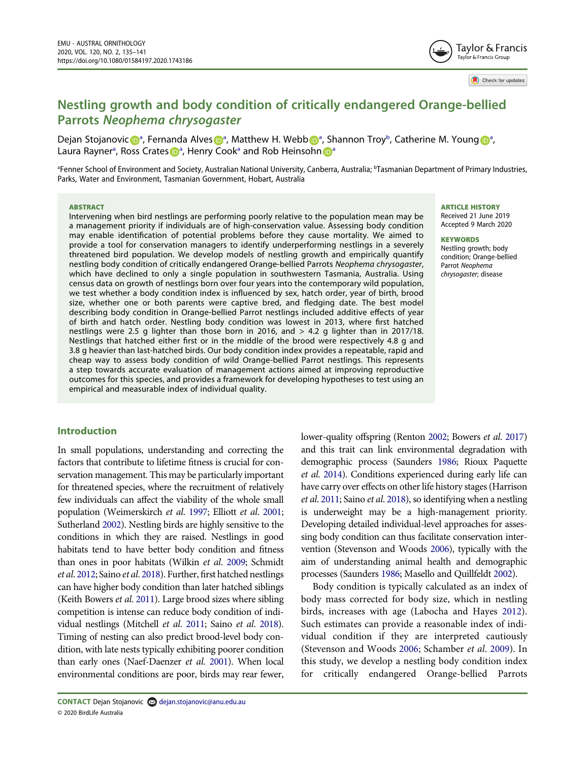Check for updates

# Nestling growth and body condition of critically endangered Orange-bellied Parrots Neophema chrysogaster

Dejan Stojanovi[c](http://orcid.org/0000-0002-1176-3244) D<sup>[a](#page-0-0)</sup>, Fernanda Alves D<sup>a</sup>, Matthew H. We[b](http://orcid.org/0000-0001-6806-6098)b D<sup>a</sup>, Shannon Troy<sup>b</sup>, Catherine M. Youn[g](http://orcid.org/0000-0002-5983-1138) D<sup>a</sup>, Lau[ra](#page-0-0) R[a](#page-0-0)y[n](http://orcid.org/0000-0002-2514-9448)er<sup>a</sup>, Ross Crates D<sup>a</sup>, Henry Cook<sup>a</sup> and Rob Heinsohn D<sup>a</sup>

<span id="page-0-0"></span>a Fenner School of Environment and Society, Australian National University, Canberra, Australia; <sup>b</sup> Tasmanian Department of Primary Industries, Parks, Water and Environment, Tasmanian Government, Hobart, Australia

#### ABSTRACT

Intervening when bird nestlings are performing poorly relative to the population mean may be a management priority if individuals are of high-conservation value. Assessing body condition may enable identification of potential problems before they cause mortality. We aimed to provide a tool for conservation managers to identify underperforming nestlings in a severely threatened bird population. We develop models of nestling growth and empirically quantify nestling body condition of critically endangered Orange-bellied Parrots Neophema chrysogaster, which have declined to only a single population in southwestern Tasmania, Australia. Using census data on growth of nestlings born over four years into the contemporary wild population, we test whether a body condition index is influenced by sex, hatch order, year of birth, brood size, whether one or both parents were captive bred, and fledging date. The best model describing body condition in Orange-bellied Parrot nestlings included additive effects of year of birth and hatch order. Nestling body condition was lowest in 2013, where first hatched nestlings were 2.5 g lighter than those born in 2016, and > 4.2 g lighter than in 2017/18. Nestlings that hatched either first or in the middle of the brood were respectively 4.8 g and 3.8 g heavier than last-hatched birds. Our body condition index provides a repeatable, rapid and cheap way to assess body condition of wild Orange-bellied Parrot nestlings. This represents a step towards accurate evaluation of management actions aimed at improving reproductive outcomes for this species, and provides a framework for developing hypotheses to test using an empirical and measurable index of individual quality.

## Introduction

<span id="page-0-13"></span><span id="page-0-12"></span><span id="page-0-11"></span><span id="page-0-8"></span><span id="page-0-7"></span><span id="page-0-4"></span><span id="page-0-2"></span>In small populations, understanding and correcting the factors that contribute to lifetime fitness is crucial for conservation management. This may be particularly important for threatened species, where the recruitment of relatively few individuals can affect the viability of the whole small population (Weimerskirch et al. [1997](#page-6-0); Elliott et al. [2001](#page-5-0); Sutherland [2002\)](#page-6-1). Nestling birds are highly sensitive to the conditions in which they are raised. Nestlings in good habitats tend to have better body condition and fitness than ones in poor habitats (Wilkin et al. [2009;](#page-6-2) Schmidt et al. [2012](#page-6-3); Saino et al. [2018\)](#page-6-4). Further, first hatched nestlings can have higher body condition than later hatched siblings (Keith Bowers et al. [2011\)](#page-5-1). Large brood sizes where sibling competition is intense can reduce body condition of individual nestlings (Mitchell et al. [2011](#page-5-2); Saino et al. [2018\)](#page-6-4). Timing of nesting can also predict brood-level body condition, with late nests typically exhibiting poorer condition than early ones (Naef-Daenzer et al. [2001\)](#page-5-3). When local environmental conditions are poor, birds may rear fewer, ARTICLE HISTORY

Received 21 June 2019 Accepted 9 March 2020

#### **KEYWORDS**

Nestling growth; body condition; Orange-bellied Parrot Neophema chrysogaster; disease

<span id="page-0-9"></span><span id="page-0-3"></span><span id="page-0-1"></span>lower-quality offspring (Renton [2002;](#page-6-5) Bowers et al. [2017\)](#page-5-4) and this trait can link environmental degradation with demographic process (Saunders [1986](#page-6-6); Rioux Paquette et al. [2014](#page-6-7)). Conditions experienced during early life can have carry over effects on other life history stages (Harrison et al. [2011;](#page-5-5) Saino et al. [2018\)](#page-6-4), so identifying when a nestling is underweight may be a high-management priority. Developing detailed individual-level approaches for assessing body condition can thus facilitate conservation intervention (Stevenson and Woods [2006\)](#page-6-8), typically with the aim of understanding animal health and demographic processes (Saunders [1986;](#page-6-6) Masello and Quillfeldt [2002\)](#page-5-6).

<span id="page-0-10"></span><span id="page-0-6"></span><span id="page-0-5"></span>Body condition is typically calculated as an index of body mass corrected for body size, which in nestling birds, increases with age (Labocha and Hayes [2012](#page-5-7)). Such estimates can provide a reasonable index of individual condition if they are interpreted cautiously (Stevenson and Woods [2006](#page-6-8); Schamber et al. [2009\)](#page-6-9). In this study, we develop a nestling body condition index for critically endangered Orange-bellied Parrots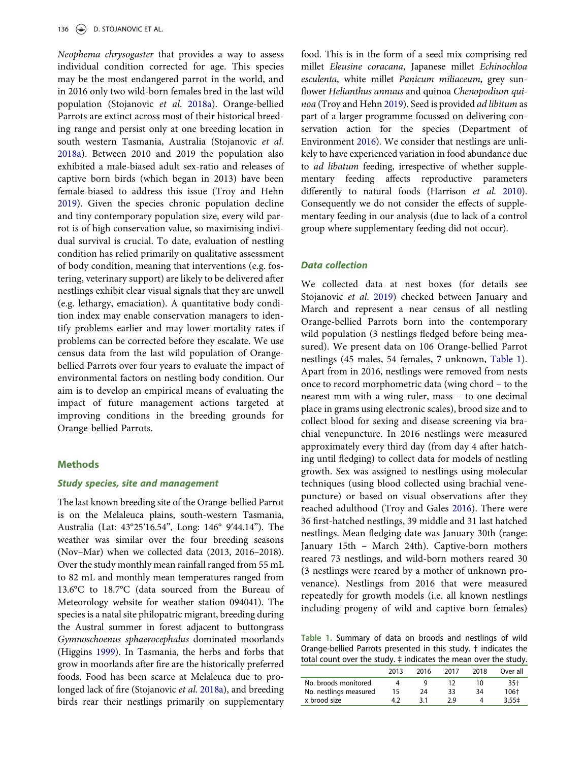Neophema chrysogaster that provides a way to assess individual condition corrected for age. This species may be the most endangered parrot in the world, and in 2016 only two wild-born females bred in the last wild population (Stojanovic et al. [2018a\)](#page-6-10). Orange-bellied Parrots are extinct across most of their historical breeding range and persist only at one breeding location in south western Tasmania, Australia (Stojanovic et al. [2018a\)](#page-6-10). Between 2010 and 2019 the population also exhibited a male-biased adult sex-ratio and releases of captive born birds (which began in 2013) have been female-biased to address this issue (Troy and Hehn [2019](#page-6-11)). Given the species chronic population decline and tiny contemporary population size, every wild parrot is of high conservation value, so maximising individual survival is crucial. To date, evaluation of nestling condition has relied primarily on qualitative assessment of body condition, meaning that interventions (e.g. fostering, veterinary support) are likely to be delivered after nestlings exhibit clear visual signals that they are unwell (e.g. lethargy, emaciation). A quantitative body condition index may enable conservation managers to identify problems earlier and may lower mortality rates if problems can be corrected before they escalate. We use census data from the last wild population of Orangebellied Parrots over four years to evaluate the impact of environmental factors on nestling body condition. Our aim is to develop an empirical means of evaluating the impact of future management actions targeted at improving conditions in the breeding grounds for Orange-bellied Parrots.

# **Methods**

### Study species, site and management

<span id="page-1-4"></span><span id="page-1-3"></span>The last known breeding site of the Orange-bellied Parrot is on the Melaleuca plains, south-western Tasmania, Australia (Lat: 43°25ʹ16.54", Long: 146° 9ʹ44.14"). The weather was similar over the four breeding seasons (Nov–Mar) when we collected data (2013, 2016–2018). Over the study monthly mean rainfall ranged from 55 mL to 82 mL and monthly mean temperatures ranged from 13.6°C to 18.7°C (data sourced from the Bureau of Meteorology website for weather station 094041). The species is a natal site philopatric migrant, breeding during the Austral summer in forest adjacent to buttongrass Gymnoschoenus sphaerocephalus dominated moorlands (Higgins [1999\)](#page-5-8). In Tasmania, the herbs and forbs that grow in moorlands after fire are the historically preferred foods. Food has been scarce at Melaleuca due to pro-longed lack of fire (Stojanovic et al. [2018a\)](#page-6-10), and breeding birds rear their nestlings primarily on supplementary <span id="page-1-7"></span><span id="page-1-1"></span>food. This is in the form of a seed mix comprising red millet Eleusine coracana, Japanese millet Echinochloa esculenta, white millet Panicum miliaceum, grey sunflower Helianthus annuus and quinoa Chenopodium quinoa (Troy and Hehn [2019\)](#page-6-11). Seed is provided ad libitum as part of a larger programme focussed on delivering conservation action for the species (Department of Environment [2016\)](#page-5-9). We consider that nestlings are unlikely to have experienced variation in food abundance due to ad libatum feeding, irrespective of whether supplementary feeding affects reproductive parameters differently to natural foods (Harrison et al. [2010\)](#page-5-10). Consequently we do not consider the effects of supplementary feeding in our analysis (due to lack of a control group where supplementary feeding did not occur).

# <span id="page-1-2"></span>Data collection

<span id="page-1-5"></span>We collected data at nest boxes (for details see Stojanovic et al. [2019](#page-6-12)) checked between January and March and represent a near census of all nestling Orange-bellied Parrots born into the contemporary wild population (3 nestlings fledged before being measured). We present data on 106 Orange-bellied Parrot nestlings (45 males, 54 females, 7 unknown, [Table 1](#page-1-0)). Apart from in 2016, nestlings were removed from nests once to record morphometric data (wing chord – to the nearest mm with a wing ruler, mass – to one decimal place in grams using electronic scales), brood size and to collect blood for sexing and disease screening via brachial venepuncture. In 2016 nestlings were measured approximately every third day (from day 4 after hatching until fledging) to collect data for models of nestling growth. Sex was assigned to nestlings using molecular techniques (using blood collected using brachial venepuncture) or based on visual observations after they reached adulthood (Troy and Gales [2016](#page-6-13)). There were 36 first-hatched nestlings, 39 middle and 31 last hatched nestlings. Mean fledging date was January 30th (range: January 15th – March 24th). Captive-born mothers reared 73 nestlings, and wild-born mothers reared 30 (3 nestlings were reared by a mother of unknown provenance). Nestlings from 2016 that were measured repeatedly for growth models (i.e. all known nestlings including progeny of wild and captive born females)

<span id="page-1-6"></span><span id="page-1-0"></span>Table 1. Summary of data on broods and nestlings of wild Orange-bellied Parrots presented in this study. † indicates the total count over the study. ‡ indicates the mean over the study.

| 2013 | 2016 | 2017 | 2018 | Over all  |
|------|------|------|------|-----------|
|      |      | 12   | 10   | 35†       |
| 15   | 24   | 33   | 34   | 106+      |
| 4.2  | २ १  | ን ዓ  |      | $3.55\pm$ |
|      |      |      |      |           |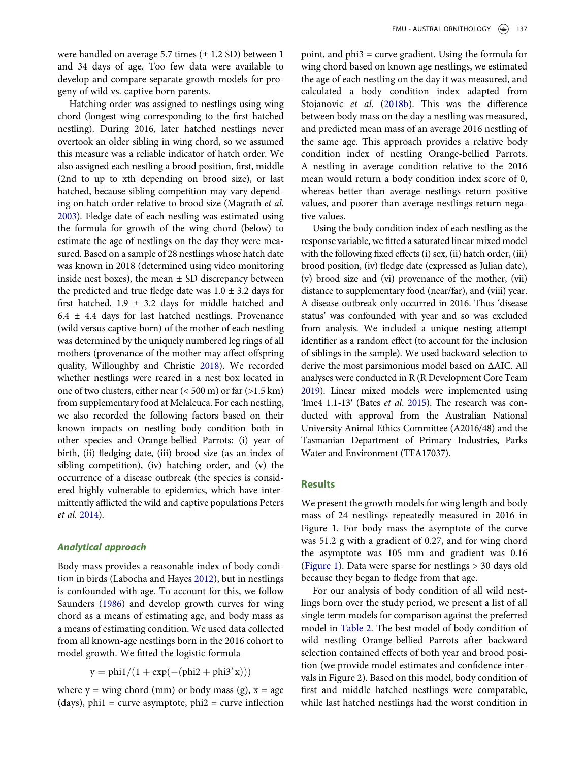were handled on average  $5.7$  times ( $\pm$  1.2 SD) between 1 and 34 days of age. Too few data were available to develop and compare separate growth models for progeny of wild vs. captive born parents.

<span id="page-2-1"></span>Hatching order was assigned to nestlings using wing chord (longest wing corresponding to the first hatched nestling). During 2016, later hatched nestlings never overtook an older sibling in wing chord, so we assumed this measure was a reliable indicator of hatch order. We also assigned each nestling a brood position, first, middle (2nd to up to xth depending on brood size), or last hatched, because sibling competition may vary depending on hatch order relative to brood size (Magrath et al. [2003\)](#page-5-11). Fledge date of each nestling was estimated using the formula for growth of the wing chord (below) to estimate the age of nestlings on the day they were measured. Based on a sample of 28 nestlings whose hatch date was known in 2018 (determined using video monitoring inside nest boxes), the mean  $\pm$  SD discrepancy between the predicted and true fledge date was  $1.0 \pm 3.2$  days for first hatched,  $1.9 \pm 3.2$  days for middle hatched and  $6.4 \pm 4.4$  days for last hatched nestlings. Provenance (wild versus captive-born) of the mother of each nestling was determined by the uniquely numbered leg rings of all mothers (provenance of the mother may affect offspring quality, Willoughby and Christie [2018](#page-6-14)). We recorded whether nestlings were reared in a nest box located in one of two clusters, either near (< 500 m) or far (>1.5 km) from supplementary food at Melaleuca. For each nestling, we also recorded the following factors based on their known impacts on nestling body condition both in other species and Orange-bellied Parrots: (i) year of birth, (ii) fledging date, (iii) brood size (as an index of sibling competition), (iv) hatching order, and (v) the occurrence of a disease outbreak (the species is considered highly vulnerable to epidemics, which have intermittently afflicted the wild and captive populations Peters et al. [2014\)](#page-5-12).

# <span id="page-2-5"></span><span id="page-2-2"></span>Analytical approach

Body mass provides a reasonable index of body condition in birds (Labocha and Hayes [2012\)](#page-5-7), but in nestlings is confounded with age. To account for this, we follow Saunders ([1986\)](#page-6-6) and develop growth curves for wing chord as a means of estimating age, and body mass as a means of estimating condition. We used data collected from all known-age nestlings born in the 2016 cohort to model growth. We fitted the logistic formula

$$
y = \frac{phi1}{1 + \exp(-(\text{phi2} + \text{phi3*}x)))
$$

where  $y = wing chord (mm)$  or body mass (g),  $x = age$  $(days)$ , phi1 = curve asymptote, phi2 = curve inflection

<span id="page-2-4"></span>point, and phi3 = curve gradient. Using the formula for wing chord based on known age nestlings, we estimated the age of each nestling on the day it was measured, and calculated a body condition index adapted from Stojanovic et al. [\(2018b\)](#page-6-15). This was the difference between body mass on the day a nestling was measured, and predicted mean mass of an average 2016 nestling of the same age. This approach provides a relative body condition index of nestling Orange-bellied Parrots. A nestling in average condition relative to the 2016 mean would return a body condition index score of 0, whereas better than average nestlings return positive values, and poorer than average nestlings return negative values.

Using the body condition index of each nestling as the response variable, we fitted a saturated linear mixed model with the following fixed effects (i) sex, (ii) hatch order, (iii) brood position, (iv) fledge date (expressed as Julian date), (v) brood size and (vi) provenance of the mother, (vii) distance to supplementary food (near/far), and (viii) year. A disease outbreak only occurred in 2016. Thus 'disease status' was confounded with year and so was excluded from analysis. We included a unique nesting attempt identifier as a random effect (to account for the inclusion of siblings in the sample). We used backward selection to derive the most parsimonious model based on ΔAIC. All analyses were conducted in R (R Development Core Team [2019](#page-6-16)). Linear mixed models were implemented using 'lme4 1.1-13' (Bates et al. [2015](#page-5-13)). The research was conducted with approval from the Australian National University Animal Ethics Committee (A2016/48) and the Tasmanian Department of Primary Industries, Parks Water and Environment (TFA17037).

# <span id="page-2-3"></span><span id="page-2-0"></span>**Results**

We present the growth models for wing length and body mass of 24 nestlings repeatedly measured in 2016 in Figure 1. For body mass the asymptote of the curve was 51.2 g with a gradient of 0.27, and for wing chord the asymptote was 105 mm and gradient was 0.16 [\(Figure 1\)](#page-3-0). Data were sparse for nestlings > 30 days old because they began to fledge from that age.

For our analysis of body condition of all wild nestlings born over the study period, we present a list of all single term models for comparison against the preferred model in [Table 2.](#page-3-1) The best model of body condition of wild nestling Orange-bellied Parrots after backward selection contained effects of both year and brood position (we provide model estimates and confidence intervals in Figure 2). Based on this model, body condition of first and middle hatched nestlings were comparable, while last hatched nestlings had the worst condition in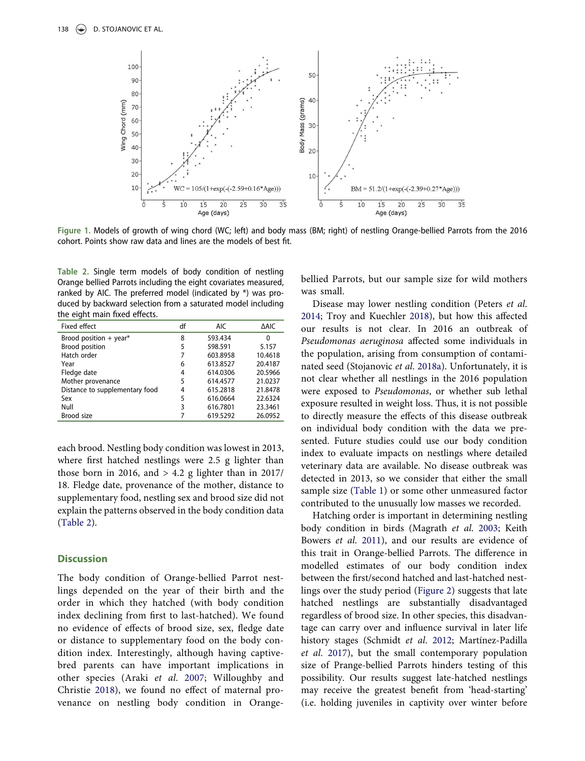<span id="page-3-0"></span>

Figure 1. Models of growth of wing chord (WC; left) and body mass (BM; right) of nestling Orange-bellied Parrots from the 2016 cohort. Points show raw data and lines are the models of best fit.

<span id="page-3-1"></span>Table 2. Single term models of body condition of nestling Orange bellied Parrots including the eight covariates measured, ranked by AIC. The preferred model (indicated by \*) was produced by backward selection from a saturated model including the eight main fixed effects.

| Fixed effect                   | df | <b>AIC</b> | <b>AAIC</b> |
|--------------------------------|----|------------|-------------|
| Brood position $+$ year*       | 8  | 593.434    | 0           |
| <b>Brood position</b>          | 5  | 598.591    | 5.157       |
| Hatch order                    |    | 603.8958   | 10.4618     |
| Year                           | 6  | 613.8527   | 20.4187     |
| Fledge date                    | 4  | 614.0306   | 20.5966     |
| Mother provenance              | 5  | 614.4577   | 21.0237     |
| Distance to supplementary food | 4  | 615.2818   | 21.8478     |
| Sex                            | 5  | 616.0664   | 22.6324     |
| Null                           | 3  | 616.7801   | 23.3461     |
| Brood size                     |    | 619.5292   | 26.0952     |

each brood. Nestling body condition was lowest in 2013, where first hatched nestlings were 2.5 g lighter than those born in 2016, and  $> 4.2$  g lighter than in 2017/ 18. Fledge date, provenance of the mother, distance to supplementary food, nestling sex and brood size did not explain the patterns observed in the body condition data ([Table 2](#page-3-1)).

### **Discussion**

<span id="page-3-2"></span>The body condition of Orange-bellied Parrot nestlings depended on the year of their birth and the order in which they hatched (with body condition index declining from first to last-hatched). We found no evidence of effects of brood size, sex, fledge date or distance to supplementary food on the body condition index. Interestingly, although having captivebred parents can have important implications in other species (Araki et al. [2007;](#page-5-14) Willoughby and Christie [2018\)](#page-6-14), we found no effect of maternal provenance on nestling body condition in Orangebellied Parrots, but our sample size for wild mothers was small.

<span id="page-3-4"></span>Disease may lower nestling condition (Peters et al. [2014;](#page-5-12) Troy and Kuechler [2018](#page-6-17)), but how this affected our results is not clear. In 2016 an outbreak of Pseudomonas aeruginosa affected some individuals in the population, arising from consumption of contaminated seed (Stojanovic et al. [2018a\)](#page-6-10). Unfortunately, it is not clear whether all nestlings in the 2016 population were exposed to Pseudomonas, or whether sub lethal exposure resulted in weight loss. Thus, it is not possible to directly measure the effects of this disease outbreak on individual body condition with the data we presented. Future studies could use our body condition index to evaluate impacts on nestlings where detailed veterinary data are available. No disease outbreak was detected in 2013, so we consider that either the small sample size ([Table 1](#page-1-0)) or some other unmeasured factor contributed to the unusually low masses we recorded.

<span id="page-3-3"></span>Hatching order is important in determining nestling body condition in birds (Magrath et al. [2003;](#page-5-11) Keith Bowers et al. [2011](#page-5-1)), and our results are evidence of this trait in Orange-bellied Parrots. The difference in modelled estimates of our body condition index between the first/second hatched and last-hatched nestlings over the study period [\(Figure 2](#page-4-0)) suggests that late hatched nestlings are substantially disadvantaged regardless of brood size. In other species, this disadvantage can carry over and influence survival in later life history stages (Schmidt et al. [2012;](#page-6-3) Martínez-Padilla et al. [2017\)](#page-5-15), but the small contemporary population size of Prange-bellied Parrots hinders testing of this possibility. Our results suggest late-hatched nestlings may receive the greatest benefit from 'head-starting' (i.e. holding juveniles in captivity over winter before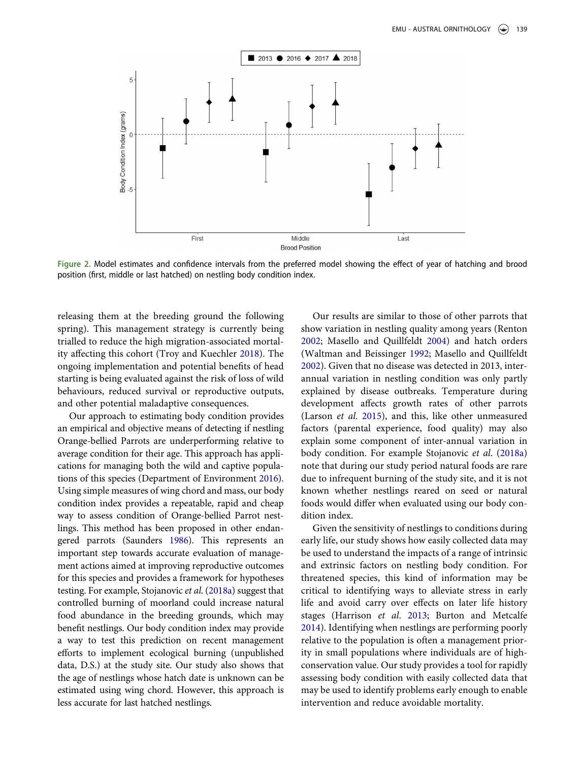<span id="page-4-0"></span>

Figure 2. Model estimates and confidence intervals from the preferred model showing the effect of year of hatching and brood position (first, middle or last hatched) on nestling body condition index.

releasing them at the breeding ground the following spring). This management strategy is currently being trialled to reduce the high migration-associated mortality affecting this cohort (Troy and Kuechler [2018](#page-6-17)). The ongoing implementation and potential benefits of head starting is being evaluated against the risk of loss of wild behaviours, reduced survival or reproductive outputs, and other potential maladaptive consequences.

Our approach to estimating body condition provides an empirical and objective means of detecting if nestling Orange-bellied Parrots are underperforming relative to average condition for their age. This approach has applications for managing both the wild and captive populations of this species (Department of Environment [2016\)](#page-5-9). Using simple measures of wing chord and mass, our body condition index provides a repeatable, rapid and cheap way to assess condition of Orange-bellied Parrot nestlings. This method has been proposed in other endangered parrots (Saunders [1986](#page-6-6)). This represents an important step towards accurate evaluation of management actions aimed at improving reproductive outcomes for this species and provides a framework for hypotheses testing. For example, Stojanovic et al. [\(2018a\)](#page-6-10) suggest that controlled burning of moorland could increase natural food abundance in the breeding grounds, which may benefit nestlings. Our body condition index may provide a way to test this prediction on recent management efforts to implement ecological burning (unpublished data, D.S.) at the study site. Our study also shows that the age of nestlings whose hatch date is unknown can be estimated using wing chord. However, this approach is less accurate for last hatched nestlings.

<span id="page-4-4"></span><span id="page-4-3"></span><span id="page-4-2"></span>Our results are similar to those of other parrots that show variation in nestling quality among years (Renton [2002;](#page-6-5) Masello and Quillfeldt [2004](#page-5-16)) and hatch orders (Waltman and Beissinger [1992;](#page-6-18) Masello and Quillfeldt [2002\)](#page-5-6). Given that no disease was detected in 2013, interannual variation in nestling condition was only partly explained by disease outbreaks. Temperature during development affects growth rates of other parrots (Larson et al. [2015\)](#page-5-17), and this, like other unmeasured factors (parental experience, food quality) may also explain some component of inter-annual variation in body condition. For example Stojanovic et al. [\(2018a\)](#page-6-10) note that during our study period natural foods are rare due to infrequent burning of the study site, and it is not known whether nestlings reared on seed or natural foods would differ when evaluated using our body condition index.

<span id="page-4-1"></span>Given the sensitivity of nestlings to conditions during early life, our study shows how easily collected data may be used to understand the impacts of a range of intrinsic and extrinsic factors on nestling body condition. For threatened species, this kind of information may be critical to identifying ways to alleviate stress in early life and avoid carry over effects on later life history stages (Harrison et al. [2013;](#page-5-18) Burton and Metcalfe [2014\)](#page-5-19). Identifying when nestlings are performing poorly relative to the population is often a management priority in small populations where individuals are of highconservation value. Our study provides a tool for rapidly assessing body condition with easily collected data that may be used to identify problems early enough to enable intervention and reduce avoidable mortality.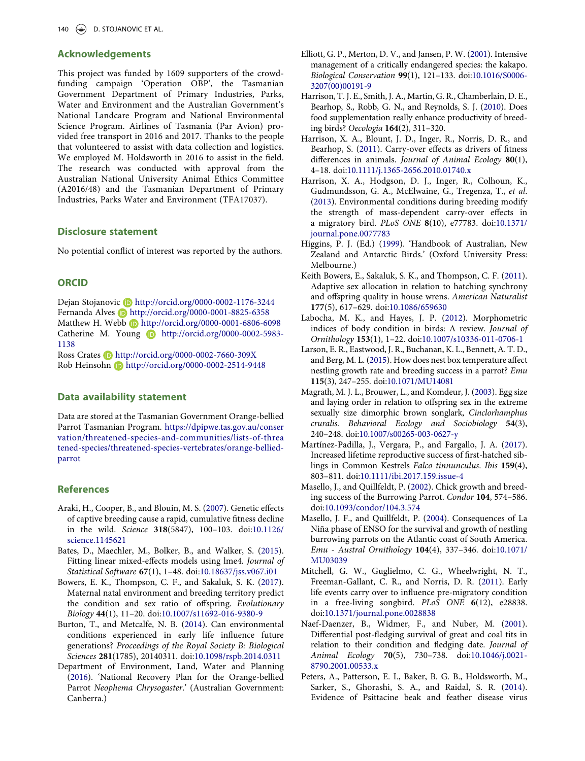# Acknowledgements

This project was funded by 1609 supporters of the crowdfunding campaign 'Operation OBP', the Tasmanian Government Department of Primary Industries, Parks, Water and Environment and the Australian Government's National Landcare Program and National Environmental Science Program. Airlines of Tasmania (Par Avion) provided free transport in 2016 and 2017. Thanks to the people that volunteered to assist with data collection and logistics. We employed M. Holdsworth in 2016 to assist in the field. The research was conducted with approval from the Australian National University Animal Ethics Committee (A2016/48) and the Tasmanian Department of Primary Industries, Parks Water and Environment (TFA17037).

# Disclosure statement

No potential conflict of interest was reported by the authors.

### **ORCID**

Dejan Stojanovic **http://orcid.org/0000-0002-1176-3244** Fernanda Alves D http://orcid.org/0000-0001-8825-6358 Matthew H. Webb **b** http://orcid.org/0000-0001-6806-6098 Catherine M. Young **b** http://orcid.org/0000-0002-5983-1138

Ross Crates **b** http://orcid.org/0000-0002-7660-309X Rob Heinsohn **b** http://orcid.org/0000-0002-2514-9448

### Data availability statement

Data are stored at the Tasmanian Government Orange-bellied Parrot Tasmanian Program. [https://dpipwe.tas.gov.au/conser](https://dpipwe.tas.gov.au/conservation/threatened-species-and-communities/lists-of-threatened-species/threatened-species-vertebrates/orange-bellied-parrot) [vation/threatened-species-and-communities/lists-of-threa](https://dpipwe.tas.gov.au/conservation/threatened-species-and-communities/lists-of-threatened-species/threatened-species-vertebrates/orange-bellied-parrot) [tened-species/threatened-species-vertebrates/orange-bellied](https://dpipwe.tas.gov.au/conservation/threatened-species-and-communities/lists-of-threatened-species/threatened-species-vertebrates/orange-bellied-parrot)[parrot](https://dpipwe.tas.gov.au/conservation/threatened-species-and-communities/lists-of-threatened-species/threatened-species-vertebrates/orange-bellied-parrot)

# **References**

- <span id="page-5-14"></span>Araki, H., Cooper, B., and Blouin, M. S. ([2007\)](#page-3-2). Genetic effects of captive breeding cause a rapid, cumulative fitness decline in the wild. Science 318(5847), 100–103. doi:[10.1126/](https://doi.org/10.1126/science.1145621) [science.1145621](https://doi.org/10.1126/science.1145621)
- <span id="page-5-13"></span>Bates, D., Maechler, M., Bolker, B., and Walker, S. ([2015](#page-2-0)). Fitting linear mixed-effects models using lme4. Journal of Statistical Software 67(1), 1–48. doi:[10.18637/jss.v067.i01](https://doi.org/10.18637/jss.v067.i01)
- <span id="page-5-4"></span>Bowers, E. K., Thompson, C. F., and Sakaluk, S. K. [\(2017](#page-0-1)). Maternal natal environment and breeding territory predict the condition and sex ratio of offspring. Evolutionary Biology 44(1), 11–20. doi:[10.1007/s11692-016-9380-9](https://doi.org/10.1007/s11692-016-9380-9)
- <span id="page-5-19"></span>Burton, T., and Metcalfe, N. B. [\(2014\)](#page-4-1). Can environmental conditions experienced in early life influence future generations? Proceedings of the Royal Society B: Biological Sciences 281(1785), 20140311. doi:[10.1098/rspb.2014.0311](https://doi.org/10.1098/rspb.2014.0311)
- <span id="page-5-9"></span>Department of Environment, Land, Water and Planning [\(2016\)](#page-1-1). 'National Recovery Plan for the Orange-bellied Parrot Neophema Chrysogaster.' (Australian Government: Canberra.)
- <span id="page-5-0"></span>Elliott, G. P., Merton, D. V., and Jansen, P. W. [\(2001\)](#page-0-2). Intensive management of a critically endangered species: the kakapo. Biological Conservation 99(1), 121–133. doi:[10.1016/S0006-](https://doi.org/10.1016/S0006-3207(00)00191-9) [3207\(00\)00191-9](https://doi.org/10.1016/S0006-3207(00)00191-9)
- <span id="page-5-10"></span>Harrison, T. J. E., Smith, J. A., Martin, G. R., Chamberlain, D. E., Bearhop, S., Robb, G. N., and Reynolds, S. J. ([2010\)](#page-1-2). Does food supplementation really enhance productivity of breeding birds? Oecologia 164(2), 311–320.
- <span id="page-5-5"></span>Harrison, X. A., Blount, J. D., Inger, R., Norris, D. R., and Bearhop, S. ([2011\)](#page-0-3). Carry-over effects as drivers of fitness differences in animals. Journal of Animal Ecology 80(1), 4–18. doi:[10.1111/j.1365-2656.2010.01740.x](https://doi.org/10.1111/j.1365-2656.2010.01740.x)
- <span id="page-5-18"></span>Harrison, X. A., Hodgson, D. J., Inger, R., Colhoun, K., Gudmundsson, G. A., McElwaine, G., Tregenza, T., et al. [\(2013](#page-4-1)). Environmental conditions during breeding modify the strength of mass-dependent carry-over effects in a migratory bird. PLoS ONE 8(10), e77783. doi:[10.1371/](https://doi.org/10.1371/journal.pone.0077783) [journal.pone.0077783](https://doi.org/10.1371/journal.pone.0077783)
- <span id="page-5-8"></span>Higgins, P. J. (Ed.) [\(1999](#page-1-3)). 'Handbook of Australian, New Zealand and Antarctic Birds.' (Oxford University Press: Melbourne.)
- <span id="page-5-1"></span>Keith Bowers, E., Sakaluk, S. K., and Thompson, C. F. ([2011](#page-0-4)). Adaptive sex allocation in relation to hatching synchrony and offspring quality in house wrens. American Naturalist 177(5), 617–629. doi:[10.1086/659630](https://doi.org/10.1086/659630)
- <span id="page-5-7"></span>Labocha, M. K., and Hayes, J. P. ([2012\)](#page-0-5). Morphometric indices of body condition in birds: A review. Journal of Ornithology 153(1), 1–22. doi:[10.1007/s10336-011-0706-1](https://doi.org/10.1007/s10336-011-0706-1)
- <span id="page-5-17"></span>Larson, E. R., Eastwood, J. R., Buchanan, K. L., Bennett, A. T. D., and Berg, M. L. [\(2015\)](#page-4-2). How does nest box temperature affect nestling growth rate and breeding success in a parrot? Emu 115(3), 247–255. doi:[10.1071/MU14081](https://doi.org/10.1071/MU14081)
- <span id="page-5-11"></span>Magrath, M. J. L., Brouwer, L., and Komdeur, J. ([2003](#page-2-1)). Egg size and laying order in relation to offspring sex in the extreme sexually size dimorphic brown songlark, Cinclorhamphus cruralis. Behavioral Ecology and Sociobiology 54(3), 240–248. doi:[10.1007/s00265-003-0627-y](https://doi.org/10.1007/s00265-003-0627-y)
- <span id="page-5-15"></span>Martínez-Padilla, J., Vergara, P., and Fargallo, J. A. ([2017](#page-3-3)). Increased lifetime reproductive success of first-hatched siblings in Common Kestrels Falco tinnunculus. Ibis 159(4), 803–811. doi:[10.1111/ibi.2017.159.issue-4](https://doi.org/10.1111/ibi.2017.159.issue-4)
- <span id="page-5-6"></span>Masello, J., and Quillfeldt, P. ([2002](#page-0-6)). Chick growth and breeding success of the Burrowing Parrot. Condor 104, 574–586. doi:[10.1093/condor/104.3.574](https://doi.org/10.1093/condor/104.3.574)
- <span id="page-5-16"></span>Masello, J. F., and Quillfeldt, P. [\(2004\)](#page-4-3). Consequences of La Niña phase of ENSO for the survival and growth of nestling burrowing parrots on the Atlantic coast of South America. Emu - Austral Ornithology 104(4), 337–346. doi:[10.1071/](https://doi.org/10.1071/MU03039) [MU03039](https://doi.org/10.1071/MU03039)
- <span id="page-5-2"></span>Mitchell, G. W., Guglielmo, C. G., Wheelwright, N. T., Freeman-Gallant, C. R., and Norris, D. R. ([2011\)](#page-0-7). Early life events carry over to influence pre-migratory condition in a free-living songbird. PLoS ONE 6(12), e28838. doi:[10.1371/journal.pone.0028838](https://doi.org/10.1371/journal.pone.0028838)
- <span id="page-5-3"></span>Naef-Daenzer, B., Widmer, F., and Nuber, M. ([2001](#page-0-8)). Differential post-fledging survival of great and coal tits in relation to their condition and fledging date. Journal of Animal Ecology 70(5), 730–738. doi:[10.1046/j.0021-](https://doi.org/10.1046/j.0021-8790.2001.00533.x) [8790.2001.00533.x](https://doi.org/10.1046/j.0021-8790.2001.00533.x)
- <span id="page-5-12"></span>Peters, A., Patterson, E. I., Baker, B. G. B., Holdsworth, M., Sarker, S., Ghorashi, S. A., and Raidal, S. R. ([2014\)](#page-2-2). Evidence of Psittacine beak and feather disease virus